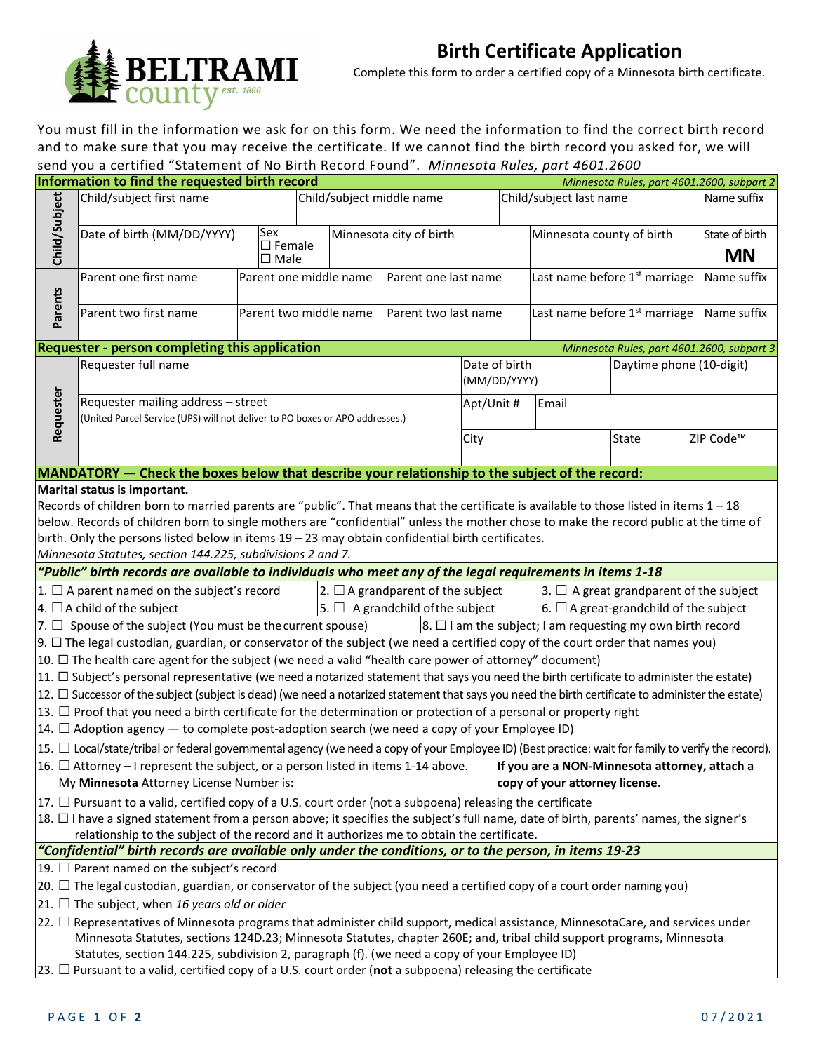

## **Birth Certificate Application**

Complete this form to order a certified copy of a Minnesota birth certificate.

You must fill in the information we ask for on this form. We need the information to find the correct birth record and to make sure that you may receive the certificate. If we cannot find the birth record you asked for, we will send you a certified "Statement of No Birth Record Found". *Minnesota Rules, part 4601.2600*

|                                                                                                                                                                                                                        | Information to find the requested birth record                                                                     |  |                        |  |                           |                               |                                           |                          | Minnesota Rules, part 4601.2600, subpart 2 |  |  |
|------------------------------------------------------------------------------------------------------------------------------------------------------------------------------------------------------------------------|--------------------------------------------------------------------------------------------------------------------|--|------------------------|--|---------------------------|-------------------------------|-------------------------------------------|--------------------------|--------------------------------------------|--|--|
|                                                                                                                                                                                                                        | Child/Subject<br>Child/subject first name<br>Sex<br>Date of birth (MM/DD/YYYY)<br>$\square$ Female<br>$\Box$ Male  |  |                        |  | Child/subject middle name |                               | Child/subject last name                   | Name suffix              |                                            |  |  |
|                                                                                                                                                                                                                        |                                                                                                                    |  |                        |  | Minnesota city of birth   |                               | Minnesota county of birth                 | State of birth           |                                            |  |  |
|                                                                                                                                                                                                                        |                                                                                                                    |  |                        |  |                           |                               |                                           | <b>MN</b>                |                                            |  |  |
|                                                                                                                                                                                                                        | Parent one first name                                                                                              |  | Parent one middle name |  | Parent one last name      |                               | Last name before 1 <sup>st</sup> marriage |                          | Name suffix                                |  |  |
| <b>Parents</b>                                                                                                                                                                                                         | Parent two middle name<br>Parent two first name                                                                    |  |                        |  | Parent two last name      |                               | Last name before 1 <sup>st</sup> marriage |                          | Name suffix                                |  |  |
|                                                                                                                                                                                                                        | Requester - person completing this application                                                                     |  |                        |  |                           |                               |                                           |                          | Minnesota Rules, part 4601.2600, subpart 3 |  |  |
| Requester                                                                                                                                                                                                              | Requester full name                                                                                                |  |                        |  |                           | Date of birth<br>(MM/DD/YYYY) |                                           | Daytime phone (10-digit) |                                            |  |  |
|                                                                                                                                                                                                                        | Requester mailing address - street<br>(United Parcel Service (UPS) will not deliver to PO boxes or APO addresses.) |  |                        |  |                           | Apt/Unit #                    | Email                                     |                          |                                            |  |  |
|                                                                                                                                                                                                                        |                                                                                                                    |  | City                   |  | <b>State</b>              | ZIP Code <sup>™</sup>         |                                           |                          |                                            |  |  |
| MANDATORY — Check the boxes below that describe your relationship to the subject of the record:                                                                                                                        |                                                                                                                    |  |                        |  |                           |                               |                                           |                          |                                            |  |  |
| Marital status is important.                                                                                                                                                                                           |                                                                                                                    |  |                        |  |                           |                               |                                           |                          |                                            |  |  |
| Records of children born to married parents are "public". That means that the certificate is available to those listed in items 1 - 18                                                                                 |                                                                                                                    |  |                        |  |                           |                               |                                           |                          |                                            |  |  |
| below. Records of children born to single mothers are "confidential" unless the mother chose to make the record public at the time of                                                                                  |                                                                                                                    |  |                        |  |                           |                               |                                           |                          |                                            |  |  |
|                                                                                                                                                                                                                        | birth. Only the persons listed below in items $19 - 23$ may obtain confidential birth certificates.                |  |                        |  |                           |                               |                                           |                          |                                            |  |  |
| Minnesota Statutes, section 144.225, subdivisions 2 and 7.                                                                                                                                                             |                                                                                                                    |  |                        |  |                           |                               |                                           |                          |                                            |  |  |
| "Public" birth records are available to individuals who meet any of the legal requirements in items 1-18                                                                                                               |                                                                                                                    |  |                        |  |                           |                               |                                           |                          |                                            |  |  |
| $ 2. \Box A$ grandparent of the subject<br>$\vert 1. \Box$ A parent named on the subject's record<br>$ 3. \Box$ A great grandparent of the subject                                                                     |                                                                                                                    |  |                        |  |                           |                               |                                           |                          |                                            |  |  |
| $\vert$ 5. $\Box$ A grandchild of the subject<br>$6. \Box$ A great-grandchild of the subject<br>$\vert$ 4. $\Box$ A child of the subject                                                                               |                                                                                                                    |  |                        |  |                           |                               |                                           |                          |                                            |  |  |
| $\vert$ 8. $\Box$ I am the subject; I am requesting my own birth record<br>$ 7. \Box$ Spouse of the subject (You must be the current spouse)                                                                           |                                                                                                                    |  |                        |  |                           |                               |                                           |                          |                                            |  |  |
| $ 9. \Box$ The legal custodian, guardian, or conservator of the subject (we need a certified copy of the court order that names you)                                                                                   |                                                                                                                    |  |                        |  |                           |                               |                                           |                          |                                            |  |  |
| 10. $\Box$ The health care agent for the subject (we need a valid "health care power of attorney" document)                                                                                                            |                                                                                                                    |  |                        |  |                           |                               |                                           |                          |                                            |  |  |
| $ 11. \Box$ Subject's personal representative (we need a notarized statement that says you need the birth certificate to administer the estate)                                                                        |                                                                                                                    |  |                        |  |                           |                               |                                           |                          |                                            |  |  |
| 12. □ Successor of the subject (subject is dead) (we need a notarized statement that says you need the birth certificate to administer the estate)                                                                     |                                                                                                                    |  |                        |  |                           |                               |                                           |                          |                                            |  |  |
| $ 13. \Box$ Proof that you need a birth certificate for the determination or protection of a personal or property right                                                                                                |                                                                                                                    |  |                        |  |                           |                               |                                           |                          |                                            |  |  |
| $ 14. \Box$ Adoption agency — to complete post-adoption search (we need a copy of your Employee ID)                                                                                                                    |                                                                                                                    |  |                        |  |                           |                               |                                           |                          |                                            |  |  |
| $\vert$ 15. $\Box$ Local/state/tribal or federal governmental agency (we need a copy of your Employee ID) (Best practice: wait for family to verify the record).                                                       |                                                                                                                    |  |                        |  |                           |                               |                                           |                          |                                            |  |  |
| $ 16. \Box$ Attorney – I represent the subject, or a person listed in items 1-14 above. If you are a NON-Minnesota attorney, attach a                                                                                  |                                                                                                                    |  |                        |  |                           |                               |                                           |                          |                                            |  |  |
|                                                                                                                                                                                                                        | My Minnesota Attorney License Number is:                                                                           |  |                        |  |                           |                               | copy of your attorney license.            |                          |                                            |  |  |
| $ 17. \Box$ Pursuant to a valid, certified copy of a U.S. court order (not a subpoena) releasing the certificate                                                                                                       |                                                                                                                    |  |                        |  |                           |                               |                                           |                          |                                            |  |  |
| 18. □ I have a signed statement from a person above; it specifies the subject's full name, date of birth, parents' names, the signer's                                                                                 |                                                                                                                    |  |                        |  |                           |                               |                                           |                          |                                            |  |  |
| relationship to the subject of the record and it authorizes me to obtain the certificate.<br>"Confidential" birth records are available only under the conditions, or to the person, in items 19-23                    |                                                                                                                    |  |                        |  |                           |                               |                                           |                          |                                            |  |  |
|                                                                                                                                                                                                                        |                                                                                                                    |  |                        |  |                           |                               |                                           |                          |                                            |  |  |
| 19. $\Box$ Parent named on the subject's record                                                                                                                                                                        |                                                                                                                    |  |                        |  |                           |                               |                                           |                          |                                            |  |  |
| $ 20. \Box$ The legal custodian, guardian, or conservator of the subject (you need a certified copy of a court order naming you)                                                                                       |                                                                                                                    |  |                        |  |                           |                               |                                           |                          |                                            |  |  |
| $ 21. \Box$ The subject, when 16 years old or older                                                                                                                                                                    |                                                                                                                    |  |                        |  |                           |                               |                                           |                          |                                            |  |  |
| $ 22.$ $\Box$ Representatives of Minnesota programs that administer child support, medical assistance, MinnesotaCare, and services under                                                                               |                                                                                                                    |  |                        |  |                           |                               |                                           |                          |                                            |  |  |
| Minnesota Statutes, sections 124D.23; Minnesota Statutes, chapter 260E; and, tribal child support programs, Minnesota<br>Statutes, section 144.225, subdivision 2, paragraph (f). (we need a copy of your Employee ID) |                                                                                                                    |  |                        |  |                           |                               |                                           |                          |                                            |  |  |
|                                                                                                                                                                                                                        |                                                                                                                    |  |                        |  |                           |                               |                                           |                          |                                            |  |  |